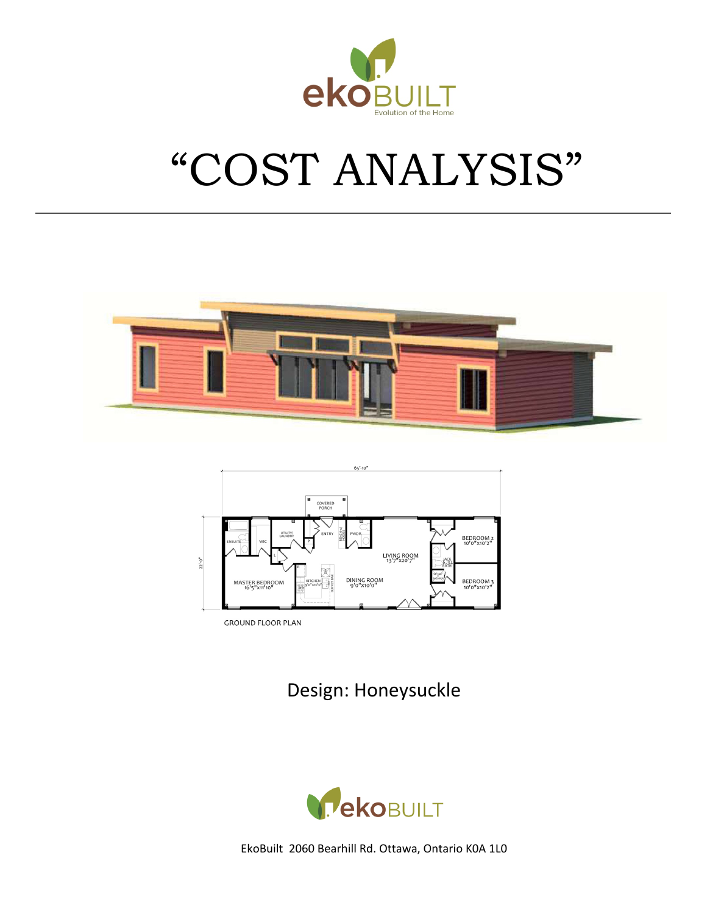

# "COST ANALYSIS"





**GROUND FLOOR PLAN** 

Design: Honeysuckle

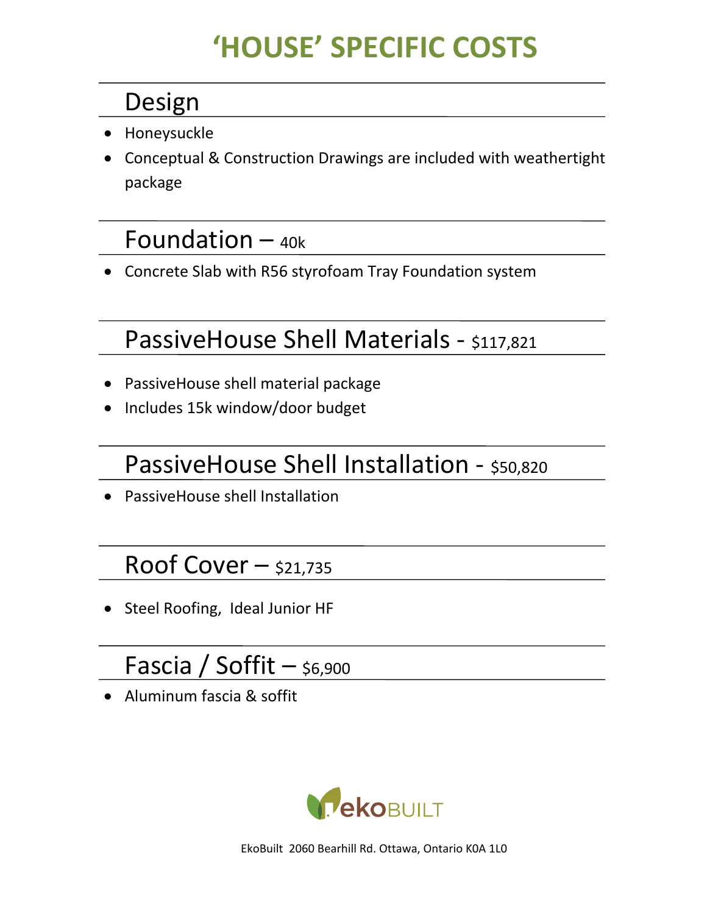## **'HOUSE' SPECIFIC COSTS**

## Design

- Honeysuckle
- Conceptual & Construction Drawings are included with weathertight package

## Foundation  $-$  40k

• Concrete Slab with R56 styrofoam Tray Foundation system

## PassiveHouse Shell Materials - \$117,821

- PassiveHouse shell material package
- Includes 15k window/door budget

## PassiveHouse Shell Installation - \$50,820

• PassiveHouse shell Installation

## Roof Cover  $-$  \$21,735

• Steel Roofing, Ideal Junior HF

## Fascia / Soffit  $-$  \$6,900

• Aluminum fascia & soffit

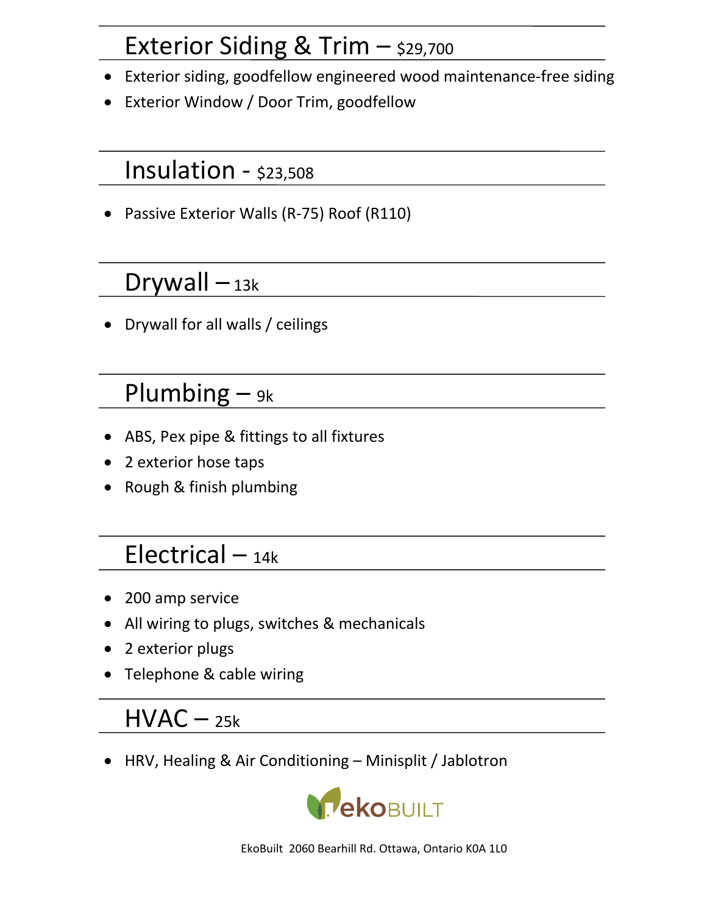## Exterior Siding & Trim  $-$  \$29,700

- Exterior siding, goodfellow engineered wood maintenance-free siding
- Exterior Window / Door Trim, goodfellow

#### Insulation - \$23,508

• Passive Exterior Walls (R-75) Roof (R110)

## Drywall  $-$  13k

• Drywall for all walls / ceilings

## Plumbing  $-$  9k

- ABS, Pex pipe & fittings to all fixtures
- 2 exterior hose taps
- Rough & finish plumbing

## Electrical  $-$  14k

- 200 amp service
- All wiring to plugs, switches & mechanicals
- 2 exterior plugs
- Telephone & cable wiring

## $HVAC - 25k$

• HRV, Healing & Air Conditioning – Minisplit / Jablotron